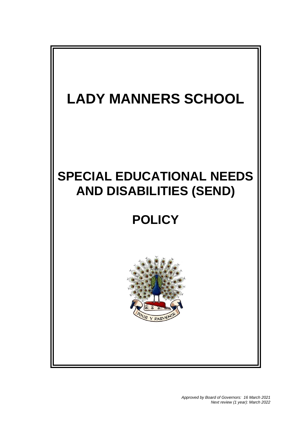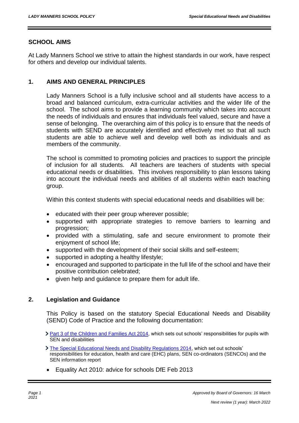## **SCHOOL AIMS**

At Lady Manners School we strive to attain the highest standards in our work, have respect for others and develop our individual talents.

#### **1. AIMS AND GENERAL PRINCIPLES**

Lady Manners School is a fully inclusive school and all students have access to a broad and balanced curriculum, extra-curricular activities and the wider life of the school. The school aims to provide a learning community which takes into account the needs of individuals and ensures that individuals feel valued, secure and have a sense of belonging. The overarching aim of this policy is to ensure that the needs of students with SEND are accurately identified and effectively met so that all such students are able to achieve well and develop well both as individuals and as members of the community.

The school is committed to promoting policies and practices to support the principle of inclusion for all students. All teachers are teachers of students with special educational needs or disabilities. This involves responsibility to plan lessons taking into account the individual needs and abilities of all students within each teaching group.

Within this context students with special educational needs and disabilities will be:

- educated with their peer group wherever possible;
- supported with appropriate strategies to remove barriers to learning and progression;
- provided with a stimulating, safe and secure environment to promote their enjoyment of school life;
- supported with the development of their social skills and self-esteem;
- supported in adopting a healthy lifestyle;
- encouraged and supported to participate in the full life of the school and have their positive contribution celebrated;
- given help and guidance to prepare them for adult life.

## **2. Legislation and Guidance**

This Policy is based on the statutory Special Educational Needs and Disability (SEND) Code of Practice and the following documentation:

- [Part 3 of the Children and Families Act 2014,](http://www.legislation.gov.uk/ukpga/2014/6/part/3) which sets out schools' responsibilities for pupils with SEN and disabilities
- [The Special Educational Needs and Disability Regulations 2014,](http://www.legislation.gov.uk/uksi/2014/1530/contents/made) which set out schools' responsibilities for education, health and care (EHC) plans, SEN co-ordinators (SENCOs) and the SEN information report
- Equality Act 2010: advice for schools DfE Feb 2013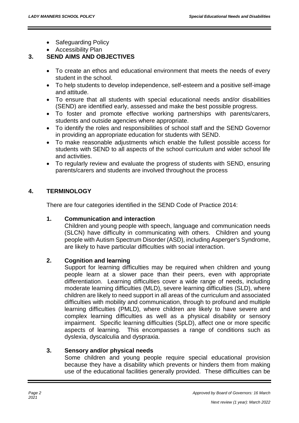- Safeguarding Policy
- Accessibility Plan

## **3. SEND AIMS AND OBJECTIVES**

- To create an ethos and educational environment that meets the needs of every student in the school.
- To help students to develop independence, self-esteem and a positive self-image and attitude.
- To ensure that all students with special educational needs and/or disabilities (SEND) are identified early, assessed and make the best possible progress.
- To foster and promote effective working partnerships with parents/carers, students and outside agencies where appropriate.
- To identify the roles and responsibilities of school staff and the SEND Governor in providing an appropriate education for students with SEND.
- To make reasonable adjustments which enable the fullest possible access for students with SEND to all aspects of the school curriculum and wider school life and activities.
- To regularly review and evaluate the progress of students with SEND, ensuring parents/carers and students are involved throughout the process

# **4. TERMINOLOGY**

There are four categories identified in the SEND Code of Practice 2014:

# **1. Communication and interaction**

Children and young people with speech, language and communication needs (SLCN) have difficulty in communicating with others. Children and young people with Autism Spectrum Disorder (ASD), including Asperger's Syndrome, are likely to have particular difficulties with social interaction.

# **2. Cognition and learning**

Support for learning difficulties may be required when children and young people learn at a slower pace than their peers, even with appropriate differentiation. Learning difficulties cover a wide range of needs, including moderate learning difficulties (MLD), severe learning difficulties (SLD), where children are likely to need support in all areas of the curriculum and associated difficulties with mobility and communication, through to profound and multiple learning difficulties (PMLD), where children are likely to have severe and complex learning difficulties as well as a physical disability or sensory impairment. Specific learning difficulties (SpLD), affect one or more specific aspects of learning. This encompasses a range of conditions such as dyslexia, dyscalculia and dyspraxia.

# **3. Sensory and/or physical needs**

Some children and young people require special educational provision because they have a disability which prevents or hinders them from making use of the educational facilities generally provided. These difficulties can be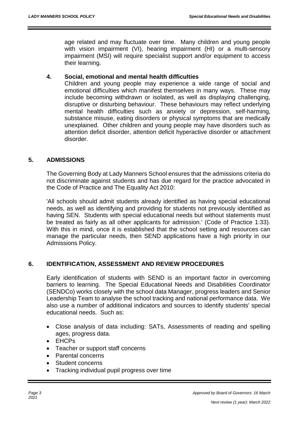age related and may fluctuate over time. Many children and young people with vision impairment (VI), hearing impairment (HI) or a multi-sensory impairment (MSI) will require specialist support and/or equipment to access their learning.

## **4. Social, emotional and mental health difficulties**

Children and young people may experience a wide range of social and emotional difficulties which manifest themselves in many ways. These may include becoming withdrawn or isolated, as well as displaying challenging, disruptive or disturbing behaviour. These behaviours may reflect underlying mental health difficulties such as anxiety or depression, self-harming, substance misuse, eating disorders or physical symptoms that are medically unexplained. Other children and young people may have disorders such as attention deficit disorder, attention deficit hyperactive disorder or attachment disorder.

# **5. ADMISSIONS**

The Governing Body at Lady Manners School ensures that the admissions criteria do not discriminate against students and has due regard for the practice advocated in the Code of Practice and The Equality Act 2010:

'All schools should admit students already identified as having special educational needs, as well as identifying and providing for students not previously identified as having SEN. Students with special educational needs but without statements must be treated as fairly as all other applicants for admission.' (Code of Practice 1:33). With this in mind, once it is established that the school setting and resources can manage the particular needs, then SEND applications have a high priority in our Admissions Policy.

# **6. IDENTIFICATION, ASSESSMENT AND REVIEW PROCEDURES**

Early identification of students with SEND is an important factor in overcoming barriers to learning. The Special Educational Needs and Disabilities Coordinator (SENDCo) works closely with the school data Manager, progress leaders and Senior Leadership Team to analyse the school tracking and national performance data. We also use a number of additional indicators and sources to identify students' special educational needs. Such as:

- Close analysis of data including: SATs, Assessments of reading and spelling ages, progress data.
- EHCPs
- Teacher or support staff concerns
- Parental concerns
- Student concerns
- Tracking individual pupil progress over time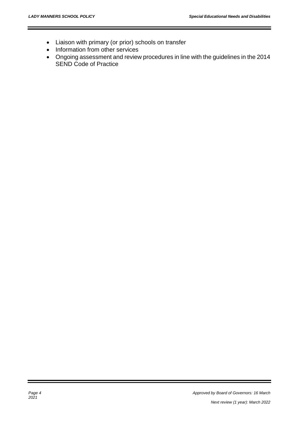- Liaison with primary (or prior) schools on transfer
- Information from other services
- Ongoing assessment and review procedures in line with the guidelines in the 2014 SEND Code of Practice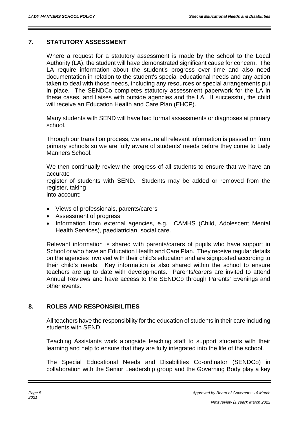## **7. STATUTORY ASSESSMENT**

Where a request for a statutory assessment is made by the school to the Local Authority (LA), the student will have demonstrated significant cause for concern. The LA require information about the student's progress over time and also need documentation in relation to the student's special educational needs and any action taken to deal with those needs, including any resources or special arrangements put in place. The SENDCo completes statutory assessment paperwork for the LA in these cases, and liaises with outside agencies and the LA. If successful, the child will receive an Education Health and Care Plan (EHCP).

Many students with SEND will have had formal assessments or diagnoses at primary school.

Through our transition process, we ensure all relevant information is passed on from primary schools so we are fully aware of students' needs before they come to Lady Manners School.

We then continually review the progress of all students to ensure that we have an accurate

register of students with SEND. Students may be added or removed from the register, taking

into account:

- Views of professionals, parents/carers
- Assessment of progress
- Information from external agencies, e.g. CAMHS (Child, Adolescent Mental Health Services), paediatrician, social care.

Relevant information is shared with parents/carers of pupils who have support in School or who have an Education Health and Care Plan. They receive regular details on the agencies involved with their child's education and are signposted according to their child's needs. Key information is also shared within the school to ensure teachers are up to date with developments. Parents/carers are invited to attend Annual Reviews and have access to the SENDCo through Parents' Evenings and other events.

# **8. ROLES AND RESPONSIBILITIES**

All teachers have the responsibility for the education of students in their care including students with SEND.

Teaching Assistants work alongside teaching staff to support students with their learning and help to ensure that they are fully integrated into the life of the school.

The Special Educational Needs and Disabilities Co-ordinator (SENDCo) in collaboration with the Senior Leadership group and the Governing Body play a key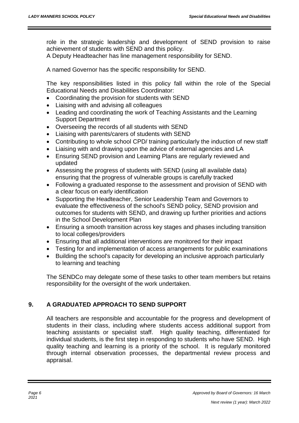role in the strategic leadership and development of SEND provision to raise achievement of students with SEND and this policy.

A Deputy Headteacher has line management responsibility for SEND.

A named Governor has the specific responsibility for SEND.

The key responsibilities listed in this policy fall within the role of the Special Educational Needs and Disabilities Coordinator:

- Coordinating the provision for students with SEND
- Liaising with and advising all colleagues
- Leading and coordinating the work of Teaching Assistants and the Learning Support Department
- Overseeing the records of all students with SEND
- Liaising with parents/carers of students with SEND
- Contributing to whole school CPD/ training particularly the induction of new staff
- Liaising with and drawing upon the advice of external agencies and LA
- Ensuring SEND provision and Learning Plans are regularly reviewed and updated
- Assessing the progress of students with SEND (using all available data) ensuring that the progress of vulnerable groups is carefully tracked
- Following a graduated response to the assessment and provision of SEND with a clear focus on early identification
- Supporting the Headteacher, Senior Leadership Team and Governors to evaluate the effectiveness of the school's SEND policy, SEND provision and outcomes for students with SEND, and drawing up further priorities and actions in the School Development Plan
- Ensuring a smooth transition across key stages and phases including transition to local colleges/providers
- Ensuring that all additional interventions are monitored for their impact
- Testing for and implementation of access arrangements for public examinations
- Building the school's capacity for developing an inclusive approach particularly to learning and teaching

The SENDCo may delegate some of these tasks to other team members but retains responsibility for the oversight of the work undertaken.

# **9. A GRADUATED APPROACH TO SEND SUPPORT**

All teachers are responsible and accountable for the progress and development of students in their class, including where students access additional support from teaching assistants or specialist staff. High quality teaching, differentiated for individual students, is the first step in responding to students who have SEND. High quality teaching and learning is a priority of the school. It is regularly monitored through internal observation processes, the departmental review process and appraisal.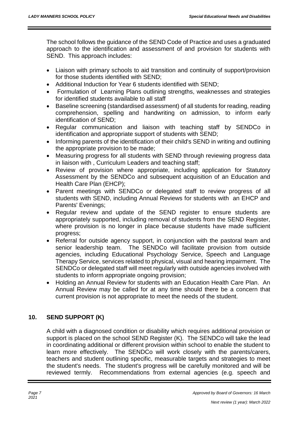The school follows the guidance of the SEND Code of Practice and uses a graduated approach to the identification and assessment of and provision for students with SEND. This approach includes:

- Liaison with primary schools to aid transition and continuity of support/provision for those students identified with SEND;
- Additional Induction for Year 6 students identified with SEND;
- Formulation of Learning Plans outlining strengths, weaknesses and strategies for identified students available to all staff
- Baseline screening (standardised assessment) of all students for reading, reading comprehension, spelling and handwriting on admission, to inform early identification of SEND;
- Regular communication and liaison with teaching staff by SENDCo in identification and appropriate support of students with SEND;
- Informing parents of the identification of their child's SEND in writing and outlining the appropriate provision to be made;
- Measuring progress for all students with SEND through reviewing progress data in liaison with , Curriculum Leaders and teaching staff;
- Review of provision where appropriate, including application for Statutory Assessment by the SENDCo and subsequent acquisition of an Education and Health Care Plan (EHCP);
- Parent meetings with SENDCo or delegated staff to review progress of all students with SEND, including Annual Reviews for students with an EHCP and Parents' Evenings;
- Regular review and update of the SEND register to ensure students are appropriately supported, including removal of students from the SEND Register, where provision is no longer in place because students have made sufficient progress;
- Referral for outside agency support, in conjunction with the pastoral team and senior leadership team. The SENDCo will facilitate provision from outside agencies, including Educational Psychology Service, Speech and Language Therapy Service, services related to physical, visual and hearing impairment. The SENDCo or delegated staff will meet regularly with outside agencies involved with students to inform appropriate ongoing provision;
- Holding an Annual Review for students with an Education Health Care Plan. An Annual Review may be called for at any time should there be a concern that current provision is not appropriate to meet the needs of the student.

# **10. SEND SUPPORT (K)**

A child with a diagnosed condition or disability which requires additional provision or support is placed on the school SEND Register (K). The SENDCo will take the lead in coordinating additional or different provision within school to enable the student to learn more effectively. The SENDCo will work closely with the parents/carers, teachers and student outlining specific, measurable targets and strategies to meet the student's needs. The student's progress will be carefully monitored and will be reviewed termly. Recommendations from external agencies (e.g. speech and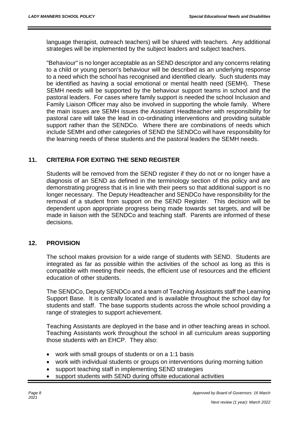language therapist, outreach teachers) will be shared with teachers. Any additional strategies will be implemented by the subject leaders and subject teachers.

"Behaviour" is no longer acceptable as an SEND descriptor and any concerns relating to a child or young person's behaviour will be described as an underlying response to a need which the school has recognised and identified clearly. Such students may be identified as having a social emotional or mental health need (SEMH). These SEMH needs will be supported by the behaviour support teams in school and the pastoral leaders. For cases where family support is needed the school Inclusion and Family Liaison Officer may also be involved in supporting the whole family. Where the main issues are SEMH issues the Assistant Headteacher with responsibility for pastoral care will take the lead in co-ordinating interventions and providing suitable support rather than the SENDCo. Where there are combinations of needs which include SEMH and other categories of SEND the SENDCo will have responsibility for the learning needs of these students and the pastoral leaders the SEMH needs.

## **11. CRITERIA FOR EXITING THE SEND REGISTER**

Students will be removed from the SEND register if they do not or no longer have a diagnosis of an SEND as defined in the terminology section of this policy and are demonstrating progress that is in line with their peers so that additional support is no longer necessary. The Deputy Headteacher and SENDCo have responsibility for the removal of a student from support on the SEND Register. This decision will be dependent upon appropriate progress being made towards set targets, and will be made in liaison with the SENDCo and teaching staff. Parents are informed of these decisions.

## **12. PROVISION**

The school makes provision for a wide range of students with SEND. Students are integrated as far as possible within the activities of the school as long as this is compatible with meeting their needs, the efficient use of resources and the efficient education of other students.

The SENDCo, Deputy SENDCo and a team of Teaching Assistants staff the Learning Support Base. It is centrally located and is available throughout the school day for students and staff. The base supports students across the whole school providing a range of strategies to support achievement.

Teaching Assistants are deployed in the base and in other teaching areas in school. Teaching Assistants work throughout the school in all curriculum areas supporting those students with an EHCP. They also:

- work with small groups of students or on a 1:1 basis
- work with individual students or groups on interventions during morning tuition
- support teaching staff in implementing SEND strategies
- support students with SEND during offsite educational activities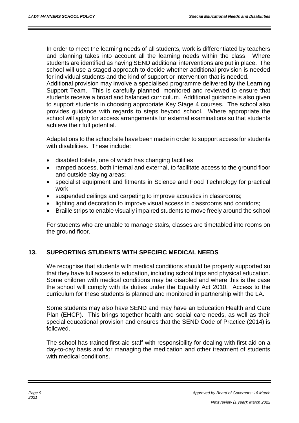In order to meet the learning needs of all students, work is differentiated by teachers and planning takes into account all the learning needs within the class. Where students are identified as having SEND additional interventions are put in place. The school will use a staged approach to decide whether additional provision is needed for individual students and the kind of support or intervention that is needed.

Additional provision may involve a specialised programme delivered by the Learning Support Team. This is carefully planned, monitored and reviewed to ensure that students receive a broad and balanced curriculum. Additional guidance is also given to support students in choosing appropriate Key Stage 4 courses. The school also provides guidance with regards to steps beyond school. Where appropriate the school will apply for access arrangements for external examinations so that students achieve their full potential.

Adaptations to the school site have been made in order to support access for students with disabilities. These include:

- disabled toilets, one of which has changing facilities
- ramped access, both internal and external, to facilitate access to the ground floor and outside playing areas;
- specialist equipment and fitments in Science and Food Technology for practical work;
- suspended ceilings and carpeting to improve acoustics in classrooms;
- lighting and decoration to improve visual access in classrooms and corridors;
- Braille strips to enable visually impaired students to move freely around the school

For students who are unable to manage stairs, classes are timetabled into rooms on the ground floor.

# **13. SUPPORTING STUDENTS WITH SPECIFIC MEDICAL NEEDS**

We recognise that students with medical conditions should be properly supported so that they have full access to education, including school trips and physical education. Some children with medical conditions may be disabled and where this is the case the school will comply with its duties under the Equality Act 2010. Access to the curriculum for these students is planned and monitored in partnership with the LA.

Some students may also have SEND and may have an Education Health and Care Plan (EHCP). This brings together health and social care needs, as well as their special educational provision and ensures that the SEND Code of Practice (2014) is followed.

The school has trained first-aid staff with responsibility for dealing with first aid on a day-to-day basis and for managing the medication and other treatment of students with medical conditions.